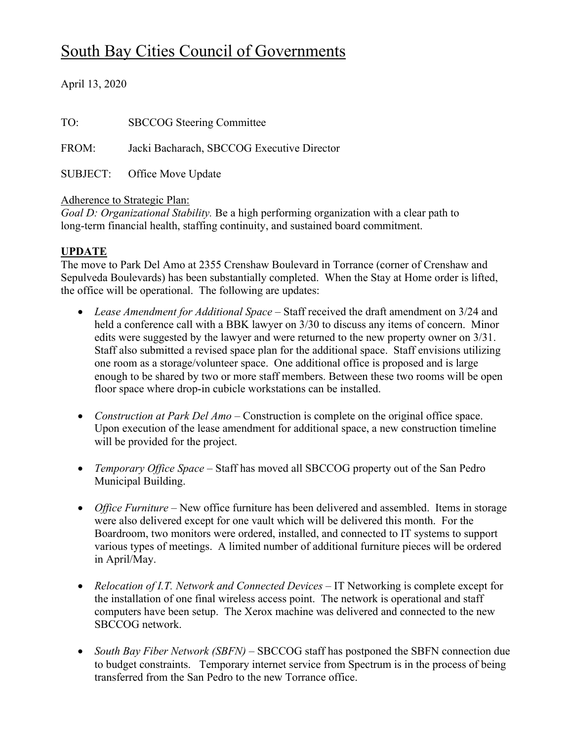# South Bay Cities Council of Governments

April 13, 2020

| TO:   | <b>SBCCOG</b> Steering Committee           |
|-------|--------------------------------------------|
| FROM: | Jacki Bacharach, SBCCOG Executive Director |
|       | SUBJECT: Office Move Update                |

#### Adherence to Strategic Plan:

*Goal D: Organizational Stability.* Be a high performing organization with a clear path to long-term financial health, staffing continuity, and sustained board commitment.

#### **UPDATE**

The move to Park Del Amo at 2355 Crenshaw Boulevard in Torrance (corner of Crenshaw and Sepulveda Boulevards) has been substantially completed. When the Stay at Home order is lifted, the office will be operational. The following are updates:

- Lease Amendment for Additional Space Staff received the draft amendment on 3/24 and held a conference call with a BBK lawyer on 3/30 to discuss any items of concern. Minor edits were suggested by the lawyer and were returned to the new property owner on 3/31. Staff also submitted a revised space plan for the additional space. Staff envisions utilizing one room as a storage/volunteer space. One additional office is proposed and is large enough to be shared by two or more staff members. Between these two rooms will be open floor space where drop-in cubicle workstations can be installed.
- *Construction at Park Del Amo* Construction is complete on the original office space. Upon execution of the lease amendment for additional space, a new construction timeline will be provided for the project.
- *Temporary Office Space –* Staff has moved all SBCCOG property out of the San Pedro Municipal Building.
- *Office Furniture* New office furniture has been delivered and assembled. Items in storage were also delivered except for one vault which will be delivered this month. For the Boardroom, two monitors were ordered, installed, and connected to IT systems to support various types of meetings. A limited number of additional furniture pieces will be ordered in April/May.
- *Relocation of I.T. Network and Connected Devices* IT Networking is complete except for the installation of one final wireless access point. The network is operational and staff computers have been setup. The Xerox machine was delivered and connected to the new SBCCOG network.
- *South Bay Fiber Network (SBFN)* SBCCOG staff has postponed the SBFN connection due to budget constraints. Temporary internet service from Spectrum is in the process of being transferred from the San Pedro to the new Torrance office.